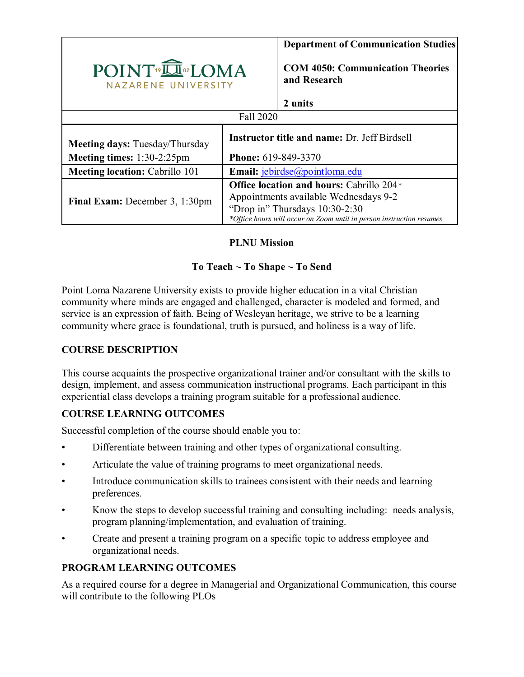|                                                |                                                     | <b>Department of Communication Studies</b>                                                                                                                                                         |  |  |  |
|------------------------------------------------|-----------------------------------------------------|----------------------------------------------------------------------------------------------------------------------------------------------------------------------------------------------------|--|--|--|
| POINT <sup>®</sup> IOMA<br>NAZARENE UNIVERSITY |                                                     | <b>COM 4050: Communication Theories</b><br>and Research                                                                                                                                            |  |  |  |
|                                                |                                                     | 2 units                                                                                                                                                                                            |  |  |  |
| Fall 2020                                      |                                                     |                                                                                                                                                                                                    |  |  |  |
| <b>Meeting days: Tuesday/Thursday</b>          | <b>Instructor title and name: Dr. Jeff Birdsell</b> |                                                                                                                                                                                                    |  |  |  |
| Meeting times: 1:30-2:25pm                     | <b>Phone:</b> 619-849-3370                          |                                                                                                                                                                                                    |  |  |  |
| <b>Meeting location: Cabrillo 101</b>          | Email: jebirdse@pointloma.edu                       |                                                                                                                                                                                                    |  |  |  |
| <b>Final Exam:</b> December 3, 1:30pm          |                                                     | <b>Office location and hours: Cabrillo 204*</b><br>Appointments available Wednesdays 9-2<br>"Drop in" Thursdays 10:30-2:30<br>*Office hours will occur on Zoom until in person instruction resumes |  |  |  |

### **PLNU Mission**

# **To Teach ~ To Shape ~ To Send**

Point Loma Nazarene University exists to provide higher education in a vital Christian community where minds are engaged and challenged, character is modeled and formed, and service is an expression of faith. Being of Wesleyan heritage, we strive to be a learning community where grace is foundational, truth is pursued, and holiness is a way of life.

### **COURSE DESCRIPTION**

This course acquaints the prospective organizational trainer and/or consultant with the skills to design, implement, and assess communication instructional programs. Each participant in this experiential class develops a training program suitable for a professional audience.

### **COURSE LEARNING OUTCOMES**

Successful completion of the course should enable you to:

- Differentiate between training and other types of organizational consulting.
- Articulate the value of training programs to meet organizational needs.
- Introduce communication skills to trainees consistent with their needs and learning preferences.
- Know the steps to develop successful training and consulting including: needs analysis, program planning/implementation, and evaluation of training.
- Create and present a training program on a specific topic to address employee and organizational needs.

### **PROGRAM LEARNING OUTCOMES**

As a required course for a degree in Managerial and Organizational Communication, this course will contribute to the following PLOs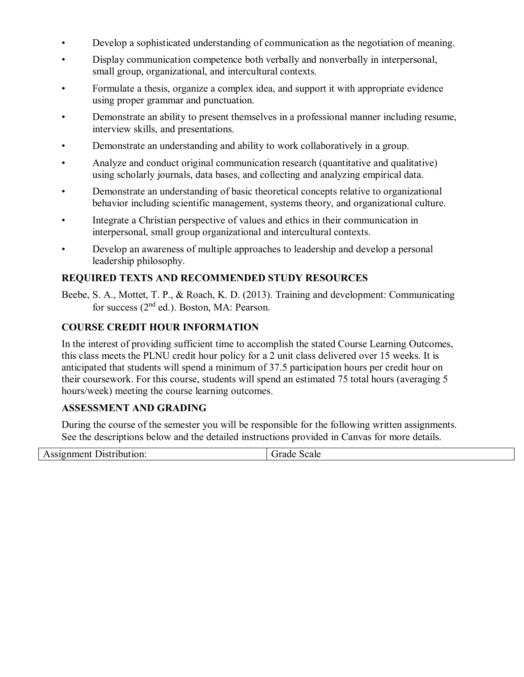- Develop a sophisticated understanding of communication as the negotiation of meaning.
- Display communication competence both verbally and nonverbally in interpersonal, small group, organizational, and intercultural contexts.
- Formulate a thesis, organize a complex idea, and support it with appropriate evidence using proper grammar and punctuation.
- Demonstrate an ability to present themselves in a professional manner including resume, interview skills, and presentations.
- Demonstrate an understanding and ability to work collaboratively in a group.
- Analyze and conduct original communication research (quantitative and qualitative) using scholarly journals, data bases, and collecting and analyzing empirical data.
- Demonstrate an understanding of basic theoretical concepts relative to organizational behavior including scientific management, systems theory, and organizational culture.
- Integrate a Christian perspective of values and ethics in their communication in interpersonal, small group organizational and intercultural contexts.
- Develop an awareness of multiple approaches to leadership and develop a personal leadership philosophy.

# **REQUIRED TEXTS AND RECOMMENDED STUDY RESOURCES**

Beebe, S. A., Mottet, T. P., & Roach, K. D. (2013). Training and development: Communicating for success (2<sup>nd</sup> ed.). Boston, MA: Pearson.

### **COURSE CREDIT HOUR INFORMATION**

In the interest of providing sufficient time to accomplish the stated Course Learning Outcomes, this class meets the PLNU credit hour policy for a 2 unit class delivered over 15 weeks. It is anticipated that students will spend a minimum of 37.5 participation hours per credit hour on their coursework. For this course, students will spend an estimated 75 total hours (averaging 5 hours/week) meeting the course learning outcomes.

#### **ASSESSMENT AND GRADING**

During the course of the semester you will be responsible for the following written assignments. See the descriptions below and the detailed instructions provided in Canvas for more details.

| . .<br>ונו<br>`` | aic<br>иш.<br>າເ. |
|------------------|-------------------|
|                  |                   |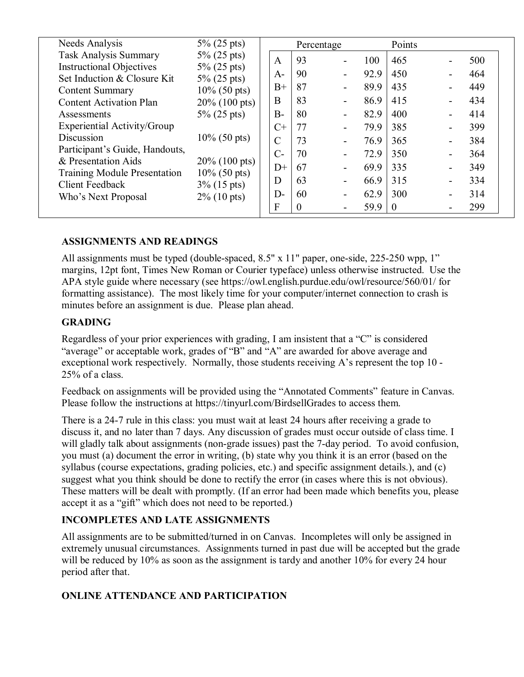| Needs Analysis                                                | $5\% (25 \text{ pts})$             | Percentage     |    |      |          | Points         |     |     |
|---------------------------------------------------------------|------------------------------------|----------------|----|------|----------|----------------|-----|-----|
| Task Analysis Summary                                         | $5\%$ (25 pts)                     | A              | 93 |      | 100      | 465            |     | 500 |
| <b>Instructional Objectives</b>                               | $5\%$ (25 pts)                     | $A-$           | 90 |      | 92.9     | 450            |     | 464 |
| Set Induction & Closure Kit<br><b>Content Summary</b>         | $5\%$ (25 pts)<br>$10\%$ (50 pts)  | $B+$           | 87 |      | 89.9     | 435            |     | 449 |
| <b>Content Activation Plan</b>                                | $20\%$ (100 pts)<br>$5\%$ (25 pts) | B              | 83 |      | 86.9     | 415            |     | 434 |
| Assessments                                                   |                                    | $B-$           | 80 |      | 82.9     | 400            |     | 414 |
| Experiential Activity/Group                                   |                                    | $C+$           | 77 |      | 79.9     | 385            |     | 399 |
| Discussion                                                    | $10\%$ (50 pts)                    | $\mathcal{C}$  | 73 |      | 76.9     | 365            |     | 384 |
| Participant's Guide, Handouts,                                |                                    | $C-$           | 70 |      | 72.9     | 350            |     | 364 |
| & Presentation Aids                                           | $20\%$ (100 pts)                   | $D+$           | 67 |      | 69.9     | 335            |     | 349 |
| <b>Training Module Presentation</b><br><b>Client Feedback</b> | $10\%$ (50 pts)<br>$3\%$ (15 pts)  | D              | 63 |      | 66.9     | 315            |     | 334 |
| $2\%$ (10 pts)<br>Who's Next Proposal                         | $D-$                               | 60             |    | 62.9 | 300      | $\blacksquare$ | 314 |     |
|                                                               | F                                  | $\overline{0}$ |    | 59.9 | $\theta$ |                | 299 |     |

### **ASSIGNMENTS AND READINGS**

All assignments must be typed (double-spaced, 8.5" x 11" paper, one-side, 225-250 wpp, 1" margins, 12pt font, Times New Roman or Courier typeface) unless otherwise instructed. Use the APA style guide where necessary (see https://owl.english.purdue.edu/owl/resource/560/01/ for formatting assistance). The most likely time for your computer/internet connection to crash is minutes before an assignment is due. Please plan ahead.

#### **GRADING**

Regardless of your prior experiences with grading, I am insistent that a "C" is considered "average" or acceptable work, grades of "B" and "A" are awarded for above average and exceptional work respectively. Normally, those students receiving A's represent the top 10 - 25% of a class.

Feedback on assignments will be provided using the "Annotated Comments" feature in Canvas. Please follow the instructions at https://tinyurl.com/BirdsellGrades to access them.

There is a 24-7 rule in this class: you must wait at least 24 hours after receiving a grade to discuss it, and no later than 7 days. Any discussion of grades must occur outside of class time. I will gladly talk about assignments (non-grade issues) past the 7-day period. To avoid confusion, you must (a) document the error in writing, (b) state why you think it is an error (based on the syllabus (course expectations, grading policies, etc.) and specific assignment details.), and (c) suggest what you think should be done to rectify the error (in cases where this is not obvious). These matters will be dealt with promptly. (If an error had been made which benefits you, please accept it as a "gift" which does not need to be reported.)

#### **INCOMPLETES AND LATE ASSIGNMENTS**

All assignments are to be submitted/turned in on Canvas. Incompletes will only be assigned in extremely unusual circumstances. Assignments turned in past due will be accepted but the grade will be reduced by 10% as soon as the assignment is tardy and another 10% for every 24 hour period after that.

#### **ONLINE ATTENDANCE AND PARTICIPATION**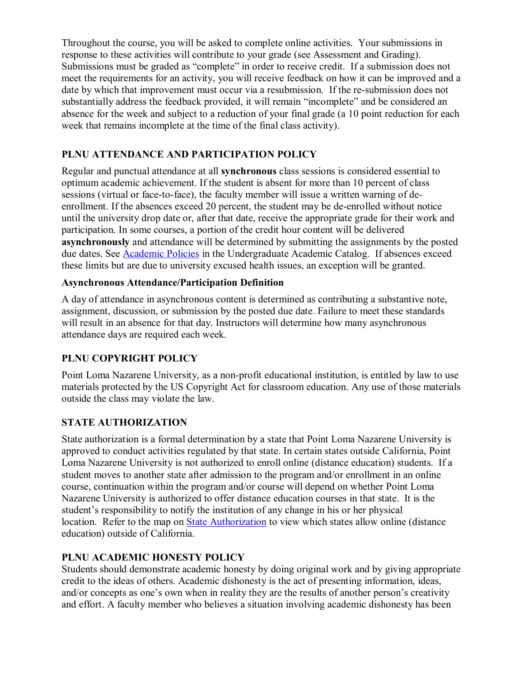Throughout the course, you will be asked to complete online activities. Your submissions in response to these activities will contribute to your grade (see Assessment and Grading). Submissions must be graded as "complete" in order to receive credit. If a submission does not meet the requirements for an activity, you will receive feedback on how it can be improved and a date by which that improvement must occur via a resubmission. If the re-submission does not substantially address the feedback provided, it will remain "incomplete" and be considered an absence for the week and subject to a reduction of your final grade (a 10 point reduction for each week that remains incomplete at the time of the final class activity).

## **PLNU ATTENDANCE AND PARTICIPATION POLICY**

Regular and punctual attendance at all **synchronous** class sessions is considered essential to optimum academic achievement. If the student is absent for more than 10 percent of class sessions (virtual or face-to-face), the faculty member will issue a written warning of deenrollment. If the absences exceed 20 percent, the student may be de-enrolled without notice until the university drop date or, after that date, receive the appropriate grade for their work and participation. In some courses, a portion of the credit hour content will be delivered **asynchronously** and attendance will be determined by submitting the assignments by the posted due dates. See **Academic Policies** in the Undergraduate Academic Catalog. If absences exceed these limits but are due to university excused health issues, an exception will be granted.

### **Asynchronous Attendance/Participation Definition**

A day of attendance in asynchronous content is determined as contributing a substantive note, assignment, discussion, or submission by the posted due date. Failure to meet these standards will result in an absence for that day. Instructors will determine how many asynchronous attendance days are required each week.

### **PLNU COPYRIGHT POLICY**

Point Loma Nazarene University, as a non-profit educational institution, is entitled by law to use materials protected by the US Copyright Act for classroom education. Any use of those materials outside the class may violate the law.

### **STATE AUTHORIZATION**

State authorization is a formal determination by a state that Point Loma Nazarene University is approved to conduct activities regulated by that state. In certain states outside California, Point Loma Nazarene University is not authorized to enroll online (distance education) students. If a student moves to another state after admission to the program and/or enrollment in an online course, continuation within the program and/or course will depend on whether Point Loma Nazarene University is authorized to offer distance education courses in that state. It is the student's responsibility to notify the institution of any change in his or her physical location. Refer to the map on **State Authorization** to view which states allow online (distance education) outside of California.

### **PLNU ACADEMIC HONESTY POLICY**

Students should demonstrate academic honesty by doing original work and by giving appropriate credit to the ideas of others. Academic dishonesty is the act of presenting information, ideas, and/or concepts as one's own when in reality they are the results of another person's creativity and effort. A faculty member who believes a situation involving academic dishonesty has been